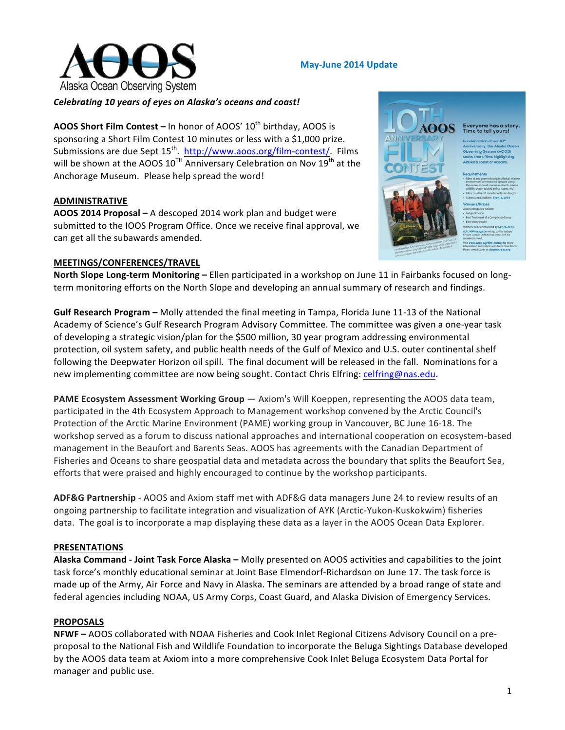

#### **May-June 2014 Update**

### Celebrating 10 years of eyes on Alaska's oceans and coast!

**AOOS Short Film Contest –** In honor of AOOS' 10<sup>th</sup> birthday, AOOS is sponsoring a Short Film Contest 10 minutes or less with a \$1,000 prize. Submissions are due Sept  $15^{th}$ . http://www.aoos.org/film-contest/. Films will be shown at the AOOS  $10^{TH}$  Anniversary Celebration on Nov  $19^{th}$  at the Anchorage Museum. Please help spread the word!

### **ADMINISTRATIVE**

**AOOS 2014 Proposal –** A descoped 2014 work plan and budget were submitted to the IOOS Program Office. Once we receive final approval, we can get all the subawards amended.

#### **MEETINGS/CONFERENCES/TRAVEL**

**North Slope Long-term Monitoring –** Ellen participated in a workshop on June 11 in Fairbanks focused on longterm monitoring efforts on the North Slope and developing an annual summary of research and findings.

**Gulf Research Program** – Molly attended the final meeting in Tampa, Florida June 11-13 of the National Academy of Science's Gulf Research Program Advisory Committee. The committee was given a one-year task of developing a strategic vision/plan for the \$500 million, 30 year program addressing environmental protection, oil system safety, and public health needs of the Gulf of Mexico and U.S. outer continental shelf following the Deepwater Horizon oil spill. The final document will be released in the fall. Nominations for a new implementing committee are now being sought. Contact Chris Elfring: celfring@nas.edu.

**PAME Ecosystem Assessment Working Group** — Axiom's Will Koeppen, representing the AOOS data team, participated in the 4th Ecosystem Approach to Management workshop convened by the Arctic Council's Protection of the Arctic Marine Environment (PAME) working group in Vancouver, BC June 16-18. The workshop served as a forum to discuss national approaches and international cooperation on ecosystem-based management in the Beaufort and Barents Seas. AOOS has agreements with the Canadian Department of Fisheries and Oceans to share geospatial data and metadata across the boundary that splits the Beaufort Sea, efforts that were praised and highly encouraged to continue by the workshop participants.

ADF&G Partnership - AOOS and Axiom staff met with ADF&G data managers June 24 to review results of an ongoing partnership to facilitate integration and visualization of AYK (Arctic-Yukon-Kuskokwim) fisheries data. The goal is to incorporate a map displaying these data as a layer in the AOOS Ocean Data Explorer.

#### **PRESENTATIONS**

**Alaska Command - Joint Task Force Alaska – Molly presented on AOOS activities and capabilities to the joint** task force's monthly educational seminar at Joint Base Elmendorf-Richardson on June 17. The task force is made up of the Army, Air Force and Navy in Alaska. The seminars are attended by a broad range of state and federal agencies including NOAA, US Army Corps, Coast Guard, and Alaska Division of Emergency Services.

#### **PROPOSALS**

**NFWF** – AOOS collaborated with NOAA Fisheries and Cook Inlet Regional Citizens Advisory Council on a preproposal to the National Fish and Wildlife Foundation to incorporate the Beluga Sightings Database developed by the AOOS data team at Axiom into a more comprehensive Cook Inlet Beluga Ecosystem Data Portal for manager and public use.